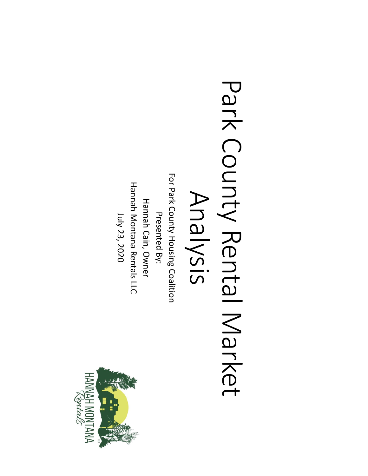

For Park County Housing Coalition For Park County Housing Coalition **Hannah Montana Rentals LLC** Hannah Montana Rentals LLC Presented By:<br>Hannah Cain, Owner Hannah Cain, Owner July 23, 2020 Presented By: July 23, 2020

## Park County Rental Market Park County Rental Market Analysis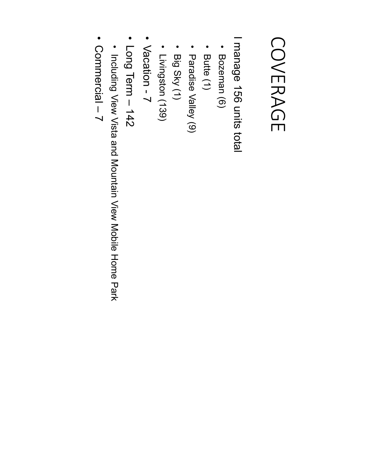#### COVERAGE COVERAGE

I manage 156 units total manage 156 units total

- Bozeman (6)
- Butte (1)
- Paradise Valley (9) Paradise Valley (9)
- Big Sky (1) Big Sky (1)
- Livingston (139) Livingston (139)
- Vacation -  $\overline{\phantom{0}}$
- Long Term – 142
- · Including View Vista and Mountain View Mobile Home Park Including View Vista and Mountain View Mobile Home Park
- Commercial –  $\prec$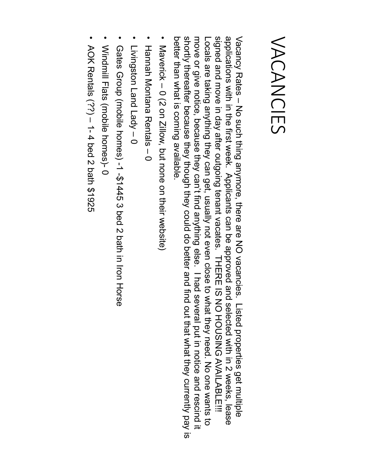#### VACANCIES VACANCIES

shortly thereafter because they though they could do better and find out that what they currently pay is signed and move in day after outgoing tenant vacates. THERE IS NO HOUSING AVAILABLE!!! applications with in the first week. Applicants can be approved and selected with in 2 weeks, lease Vacancy Rates better than what is coming available. better than what is coming available. shortly thereafter because they though they could do better and find out that what they currently pay is move or give notice, because they can't find anything else. I had several put in notice and rescind it move or give notice, because they can't find anything else. I had several put in notice and rescind it Locals are taking anything they can get, usually not even close to what they need. No one wants to signed and move in day after outgoing tenant vacates. THERE IS NO HOUSING AVAILABLE!!! applications with in the first week. Applicants can be approved and selected with in 2 weeks, lease Vacancy Rates – No such thing anymore, there are NO vacancies. Insted properties det multiple -ocals are taking anything they can get, usually not even close to what they need. No one wants to No such thing anymore, there are NO vacancies. Listed properties get multiple

- Maverick Maverick - 0 (2 on Zillow, but none on their website) 0 (2 on Zillow, but none on their website)
- Hannah Montana Rentals –  $\mathbf{\Omega}$
- Livingston Land Lady  $\overline{\phantom{a}}$  $\circ$
- Gates Group (mon Horse 2 ped 2 ped 2 ped 2 ped 2 ped 2 ped 2 Gates Group (mobile homes) -1 -\$1445 3 bed 2 bath in Iron Horse
- Windmill Flats (mobile homes)- Windmill Flats (mobile homes)-0
- AOK Rentals (??)  $\overline{\phantom{a}}$  $\overrightarrow{ }$ 4 bed 2 bath \$1925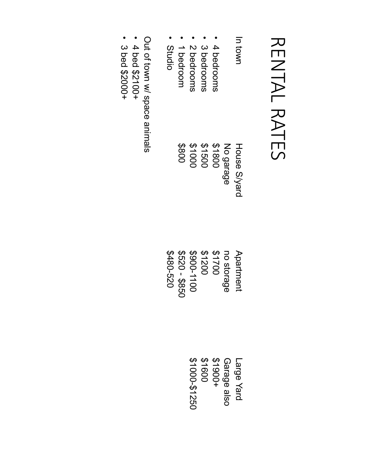### RENTAL RATES RENTAL RATES

| In town       | House S/yard |
|---------------|--------------|
|               | No garage    |
| 4 bedrooms    | \$1800       |
| 3 bedrooms    | \$1500       |
| 2 bedrooms    | 31000        |
| 1 bedroom     | 008\$        |
| <b>Studio</b> |              |

Out of town w/ space animals

- • 4 bed \$2100+
- 3 bed \$2000+

Studio \$480-520 Apartment Apartment \$1200 -<br>\$1700 \$120<br>\$48<br>\$520 \$900-1100 no storage \$850

> Large Yard \$1000-\$1250 \$1900+ \$1600 Garage also Large Yard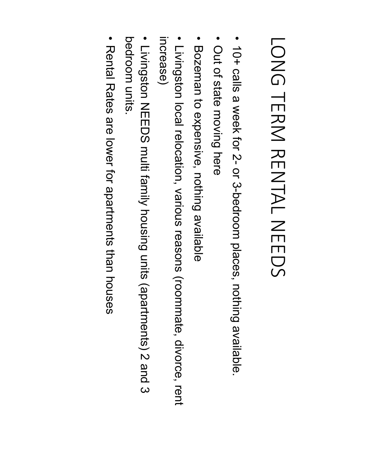# **LONG TERM RENTAL NEEDS** LONG TERM RENTAL NEEDS

- 10+ calls a week for 2 or<br>33 -bedroom places, nothing available.
- Out of state moving here Out of state moving here
- Bozeman to expensive, nothing available Bozeman to expensive, nothing available
- · Livingston local relocation, various reasons (roommate, divorce, rent Livingston local relocation, various reasons (roommate, divorce, rent increase)
- bedroom units bedroom units. · Livingston NEEDS multi family housing units (apartments) 2 and 3 Livingston NEEDS multi family housing units (apartments) 2 and 3
- Rental Rates are lower for apartments than houses Rental Rates are lower for apartments than houses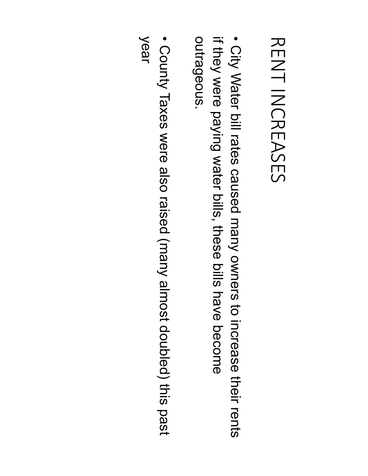### **RENT INCREASES** RENT INCREASES

outrageous if they were paying water bills, these bills have become outrageous. • City Water bill rates caused many owners to increase their rents if they were paying water bills, these bills have become City Water bill rates caused many owners to increase their rents

• County Taxes were also raised (many almost doubled) this past County Taxes were also raised (many almost doubled) this past year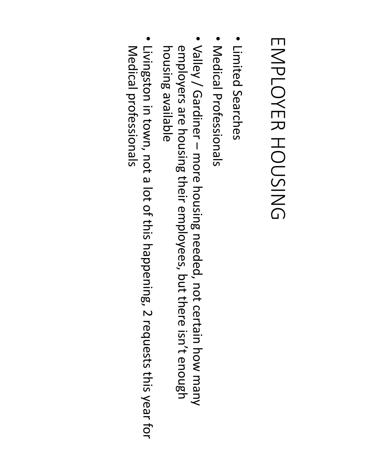## EMPLOYER HOUSING EMPLOYER HOUSING

- · Limited Searches Limited Searches
- · Medical Professionals Medical Professionals
- employers are housing their employees, but there isn't enough housing available employers are housing their employees, but there isn't enough Valley / Gardiner housing available ʹ more housing needed, not certain how many
- Livingston in town, not a lot of this happening, 2 requests this year for Medical professionals Medical professionals Livingston in town, not a lot of this happening, 2 requests this year for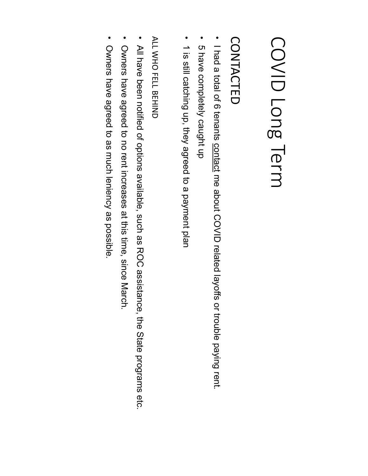### COVID Long Term COVID Long Term

#### CONTACTED CONTACTED

- I had a total of 6 tenants contact me about COVID related layoffs or trouble paying rent. I had a total of 6 tenants contact me about COVID related layoffs or trouble paying rent.
- 5 have completely caught up 5 have completely caught up
- 1 is still catching up, they agreed to a payment plan 1 is still catching up, they agreed to a payment plan

ALL WHO FELL BEHIND ALL WHO FELL BEHIND

- All have been notified of options available, such as ROC assistance, the State programs etc. All have been notified of options available, such as ROC assistance, the State programs etc.
- Owners have agreed to no rent increases at this time, since March. Owners have agreed to no rent increases at this time, since March.
- Owners have agreed to as much leniency as possible. Owners have agreed to as much leniency as possible.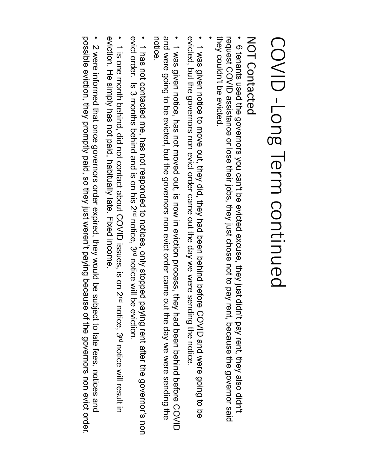# COVID-Long Term continued COVID -Long Term continued

#### **NOT Contacted** NOT Contacted

they couldn't be evicted • they couldn't request 6 tenants used the governors you can't be evicted excuse, they just didn't pay rent, they also didn't 6 tenants used the governors you can't be evicted excuse, they just didn't pay rent, they also didn't COVID assistance or lose their jobs, they just chose not to pay rent, because the governor be evicted. said

•

evicted, but the governors non evict order came out the day we were sending the notice evicted, but the governors non evict order came out the day we were sending the notice. • 1 was given notice to move out, they did, they had been been been betaind before COVID and were going to be 1 was given notice to move out, they did, they had been behind before COVID and were going to be

and were going to be evicted, but the governors non evict order came out the day we were sending the notice. and were going to be evicted, but the governors non evict order came out the day we were sending the • 1 was given notice, has not moved out, is now in eviction process, they had been behind before COVID 1 was given notice, has not moved out, is now in eviction process, they had been behind before COVID

exict order. Is  $\omega$  months behind and is on his  $N^{\text{a}}$  notice,  $\omega^{\text{a}}$  notice will be exiction. • evict order. Is  $\omega$  months behind and is on his  $\omega$ nd 1 has not contacted me, has not responded to notices, only stopped paying rent after the governor's non 1 has not contacted me, has not responded to notices, only stopped paying rent after the governor's non notice will be eviction.

eviction. He simply has not paid, habitually late. Fixed income • eviction. He simply has not paid, habitually late. Fixed income. 1 is one month behind, did not contact about COVID issues, is on 2<sup>nd</sup> notice, 3<sup>rd</sup> notice will result in 1 is one month behind, did not contact about COVID issues, is on 2nd notice will result in

possible eviction, they promptly paid, so they just weren't paying because of the governors non evict order. possible eviction, they promptly paid, so they just weren't paying because of the governors non evict order. • 2 were informed that once governors order expired, they would be subject to late fees, notices and 2 were informed that once governors order expired, they would be subject to late fees, notices and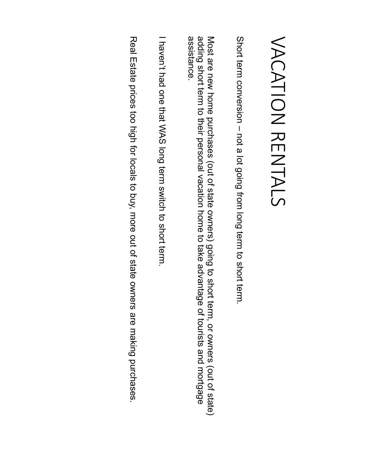### VACATION RENTALS VACATION RENTALS

Short term conversion Short term conversion - not a lot going from long term to short term. not a lot going from long term to short term.

assistance. Most are new home purchases (out of state owners) going to short term, or owners (out of state)<br>adding short term to their personal vacation home to take advantage of tourists and mortgage assistance. adding short term to their personal vacation home to take advantage of tourists and mortgage Most are new home purchases (out of state owners) going to short term, or owners (out of state)

I haven't had one that WAS long term switch to short term. I haven't had one that WAS long term switch to short term.

Real Estate prices too high to to play to put of state owners are making purchases Real Estate prices too high for locals to buy, more out of state owners are making purchases.